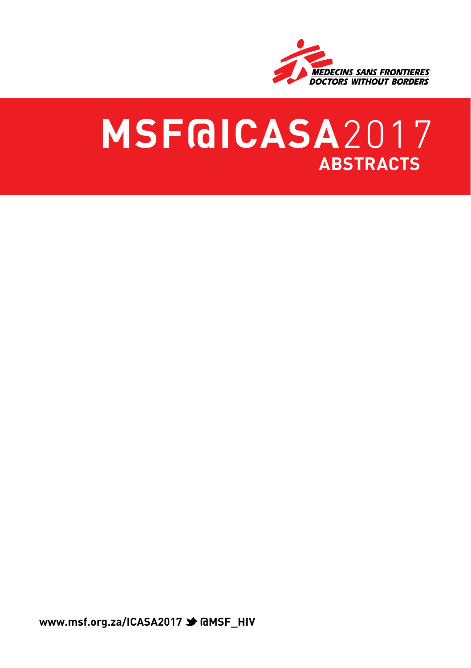

# **MSF@ICASA**2017 **abstracts**

**www.msf.org.za/ICASA2017 → @MSF\_HIV**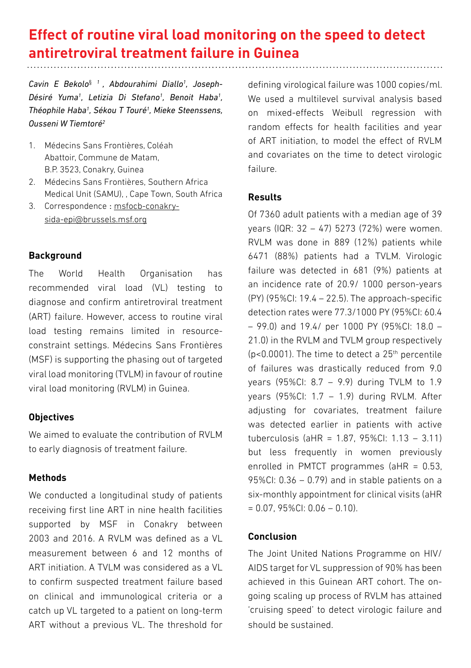# **Effect of routine viral load monitoring on the speed to detect antiretroviral treatment failure in Guinea**

*Cavin E Bekolo*§ *1 , Abdourahimi Diallo1 , Joseph-Désiré Yuma1 , Letizia Di Stefano1 , Benoit Haba1 , Théophile Haba1 , Sékou T Touré1 , Mieke Steenssens, Ousseni W Tiemtoré2*

- 1. Médecins Sans Frontières, Coléah Abattoir, Commune de Matam, B.P. 3523, Conakry, Guinea
- 2. Médecins Sans Frontières, Southern Africa Medical Unit (SAMU), , Cape Town, South Africa
- 3. Correspondence : msfocb-conakrysida-epi@brussels.msf.org

# **Background**

The World Health Organisation has recommended viral load (VL) testing to diagnose and confirm antiretroviral treatment (ART) failure. However, access to routine viral load testing remains limited in resourceconstraint settings. Médecins Sans Frontières (MSF) is supporting the phasing out of targeted viral load monitoring (TVLM) in favour of routine viral load monitoring (RVLM) in Guinea.

# **Objectives**

We aimed to evaluate the contribution of RVLM to early diagnosis of treatment failure.

# **Methods**

We conducted a longitudinal study of patients receiving first line ART in nine health facilities supported by MSF in Conakry between 2003 and 2016. A RVLM was defined as a VL measurement between 6 and 12 months of ART initiation. A TVLM was considered as a VL to confirm suspected treatment failure based on clinical and immunological criteria or a catch up VL targeted to a patient on long-term ART without a previous VL. The threshold for defining virological failure was 1000 copies/ml. We used a multilevel survival analysis based on mixed-effects Weibull regression with random effects for health facilities and year of ART initiation, to model the effect of RVLM and covariates on the time to detect virologic failure.

# **Results**

Of 7360 adult patients with a median age of 39 years (IQR: 32 – 47) 5273 (72%) were women. RVLM was done in 889 (12%) patients while 6471 (88%) patients had a TVLM. Virologic failure was detected in 681 (9%) patients at an incidence rate of 20.9/ 1000 person-years (PY) (95%CI: 19.4 – 22.5). The approach-specific detection rates were 77.3/1000 PY (95%CI: 60.4 – 99.0) and 19.4/ per 1000 PY (95%CI: 18.0 – 21.0) in the RVLM and TVLM group respectively  $(p<0.0001)$ . The time to detect a  $25<sup>th</sup>$  percentile of failures was drastically reduced from 9.0 years (95%CI: 8.7 – 9.9) during TVLM to 1.9 years (95%CI: 1.7 – 1.9) during RVLM. After adjusting for covariates, treatment failure was detected earlier in patients with active tuberculosis (aHR = 1.87, 95%CI: 1.13 – 3.11) but less frequently in women previously enrolled in PMTCT programmes (aHR = 0.53, 95%CI: 0.36 – 0.79) and in stable patients on a six-monthly appointment for clinical visits (aHR  $= 0.07, 95\%$ CI:  $0.06 - 0.10$ .

# **Conclusion**

The Joint United Nations Programme on HIV/ AIDS target for VL suppression of 90% has been achieved in this Guinean ART cohort. The ongoing scaling up process of RVLM has attained 'cruising speed' to detect virologic failure and should be sustained.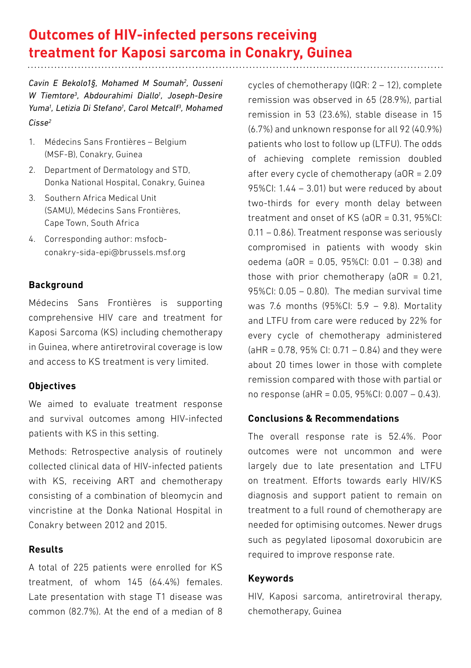# **Outcomes of HIV-infected persons receiving treatment for Kaposi sarcoma in Conakry, Guinea**

*Cavin E Bekolo1§, Mohamed M Soumah2 , Ousseni*  W Tiemtore<sup>3</sup>, Abdourahimi Diallo<sup>1</sup>, Joseph-Desire *Yuma1 , Letizia Di Stefano1 , Carol Metcalf3 , Mohamed Cisse2*

- 1. Médecins Sans Frontières Belgium (MSF-B), Conakry, Guinea
- 2. Department of Dermatology and STD, Donka National Hospital, Conakry, Guinea
- 3. Southern Africa Medical Unit (SAMU), Médecins Sans Frontières, Cape Town, South Africa
- 4. Corresponding author: msfocbconakry-sida-epi@brussels.msf.org

# **Background**

Médecins Sans Frontières is supporting comprehensive HIV care and treatment for Kaposi Sarcoma (KS) including chemotherapy in Guinea, where antiretroviral coverage is low and access to KS treatment is very limited.

# **Objectives**

We aimed to evaluate treatment response and survival outcomes among HIV-infected patients with KS in this setting.

Methods: Retrospective analysis of routinely collected clinical data of HIV-infected patients with KS, receiving ART and chemotherapy consisting of a combination of bleomycin and vincristine at the Donka National Hospital in Conakry between 2012 and 2015.

# **Results**

A total of 225 patients were enrolled for KS treatment, of whom 145 (64.4%) females. Late presentation with stage T1 disease was common (82.7%). At the end of a median of 8 cycles of chemotherapy (IQR: 2 – 12), complete remission was observed in 65 (28.9%), partial remission in 53 (23.6%), stable disease in 15 (6.7%) and unknown response for all 92 (40.9%) patients who lost to follow up (LTFU). The odds of achieving complete remission doubled after every cycle of chemotherapy (aOR = 2.09 95%CI: 1.44 – 3.01) but were reduced by about two-thirds for every month delay between treatment and onset of KS (aOR = 0.31, 95%CI: 0.11 – 0.86). Treatment response was seriously compromised in patients with woody skin oedema (aOR = 0.05, 95%CI: 0.01 – 0.38) and those with prior chemotherapy ( $aOR = 0.21$ , 95%CI: 0.05 – 0.80). The median survival time was 7.6 months (95%CI: 5.9 – 9.8). Mortality and LTFU from care were reduced by 22% for every cycle of chemotherapy administered  $(AHR = 0.78, 95\% \text{ Cl}: 0.71 - 0.84)$  and they were about 20 times lower in those with complete remission compared with those with partial or no response (aHR = 0.05, 95%CI: 0.007 – 0.43).

# **Conclusions & Recommendations**

The overall response rate is 52.4%. Poor outcomes were not uncommon and were largely due to late presentation and LTFU on treatment. Efforts towards early HIV/KS diagnosis and support patient to remain on treatment to a full round of chemotherapy are needed for optimising outcomes. Newer drugs such as pegylated liposomal doxorubicin are required to improve response rate.

#### **Keywords**

HIV, Kaposi sarcoma, antiretroviral therapy, chemotherapy, Guinea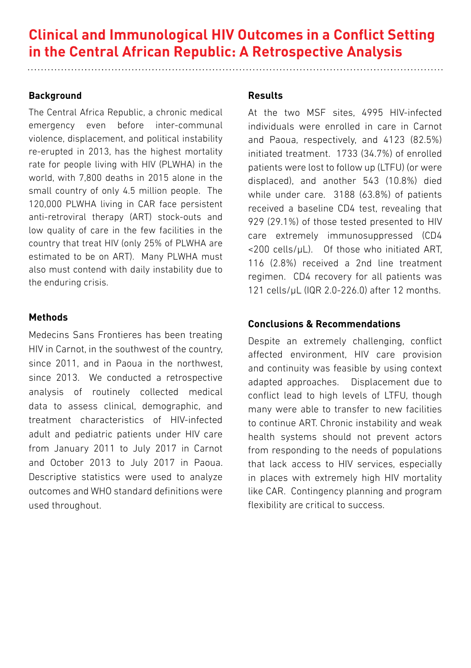# **Clinical and Immunological HIV Outcomes in a Conflict Setting in the Central African Republic: A Retrospective Analysis**

# **Background**

The Central Africa Republic, a chronic medical emergency even before inter-communal violence, displacement, and political instability re-erupted in 2013, has the highest mortality rate for people living with HIV (PLWHA) in the world, with 7,800 deaths in 2015 alone in the small country of only 4.5 million people. The 120,000 PLWHA living in CAR face persistent anti-retroviral therapy (ART) stock-outs and low quality of care in the few facilities in the country that treat HIV (only 25% of PLWHA are estimated to be on ART). Many PLWHA must also must contend with daily instability due to the enduring crisis.

# **Methods**

Medecins Sans Frontieres has been treating HIV in Carnot, in the southwest of the country, since 2011, and in Paoua in the northwest, since 2013. We conducted a retrospective analysis of routinely collected medical data to assess clinical, demographic, and treatment characteristics of HIV-infected adult and pediatric patients under HIV care from January 2011 to July 2017 in Carnot and October 2013 to July 2017 in Paoua. Descriptive statistics were used to analyze outcomes and WHO standard definitions were used throughout.

# **Results**

At the two MSF sites, 4995 HIV-infected individuals were enrolled in care in Carnot and Paoua, respectively, and 4123 (82.5%) initiated treatment. 1733 (34.7%) of enrolled patients were lost to follow up (LTFU) (or were displaced), and another 543 (10.8%) died while under care. 3188 (63.8%) of patients received a baseline CD4 test, revealing that 929 (29.1%) of those tested presented to HIV care extremely immunosuppressed (CD4 <200 cells/µL). Of those who initiated ART, 116 (2.8%) received a 2nd line treatment regimen. CD4 recovery for all patients was 121 cells/µL (IQR 2.0-226.0) after 12 months.

# **Conclusions & Recommendations**

Despite an extremely challenging, conflict affected environment, HIV care provision and continuity was feasible by using context adapted approaches. Displacement due to conflict lead to high levels of LTFU, though many were able to transfer to new facilities to continue ART. Chronic instability and weak health systems should not prevent actors from responding to the needs of populations that lack access to HIV services, especially in places with extremely high HIV mortality like CAR. Contingency planning and program flexibility are critical to success.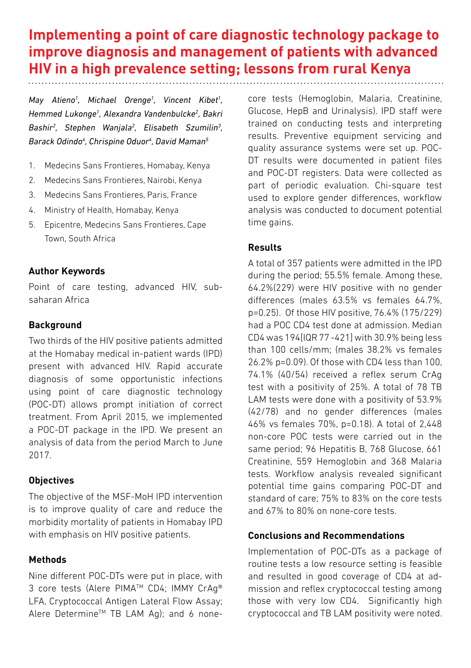# **Implementing a point of care diagnostic technology package to improve diagnosis and management of patients with advanced HIV in a high prevalence setting; lessons from rural Kenya**

*May Atieno1 , Michael Orenge1 , Vincent Kibet1 , Hemmed Lukonge1 , Alexandra Vandenbulcke2 , Bakri Bashir2 , Stephen Wanjala2 , Elisabeth Szumilin3 , Barack Odindo4 , Chrispine Oduor4 , David Maman5*

- 1. Medecins Sans Frontieres, Homabay, Kenya
- 2. Medecins Sans Frontieres, Nairobi, Kenya
- 3. Medecins Sans Frontieres, Paris, France
- 4. Ministry of Health, Homabay, Kenya
- 5. Epicentre, Medecins Sans Frontieres, Cape Town, South Africa

#### **Author Keywords**

Point of care testing, advanced HIV, subsaharan Africa

#### **Background**

Two thirds of the HIV positive patients admitted at the Homabay medical in-patient wards (IPD) present with advanced HIV. Rapid accurate diagnosis of some opportunistic infections using point of care diagnostic technology (POC-DT) allows prompt initiation of correct treatment. From April 2015, we implemented a POC-DT package in the IPD. We present an analysis of data from the period March to June 2017.

# **Objectives**

The objective of the MSF-MoH IPD intervention is to improve quality of care and reduce the morbidity mortality of patients in Homabay IPD with emphasis on HIV positive patients.

# **Methods**

Nine different POC-DTs were put in place, with 3 core tests (Alere PIMA™ CD4: IMMY CrAq® LFA, Cryptococcal Antigen Lateral Flow Assay; Alere Determine™ TB LAM Ag); and 6 nonecore tests (Hemoglobin, Malaria, Creatinine, Glucose, HepB and Urinalysis). IPD staff were trained on conducting tests and interpreting results. Preventive equipment servicing and quality assurance systems were set up. POC-DT results were documented in patient files and POC-DT registers. Data were collected as part of periodic evaluation. Chi-square test used to explore gender differences, workflow analysis was conducted to document potential time gains.

#### **Results**

A total of 357 patients were admitted in the IPD during the period; 55.5% female. Among these, 64.2%(229) were HIV positive with no gender differences (males 63.5% vs females 64.7%, p=0.25). Of those HIV positive, 76.4% (175/229) had a POC CD4 test done at admission. Median CD4 was 194[IQR 77 -421] with 30.9% being less than 100 cells/mm; (males 38.2% vs females 26.2% p=0.09). Of those with CD4 less than 100, 74.1% (40/54) received a reflex serum CrAg test with a positivity of 25%. A total of 78 TB LAM tests were done with a positivity of 53.9% (42/78) and no gender differences (males 46% vs females 70%, p=0.18). A total of 2,448 non-core POC tests were carried out in the same period; 96 Hepatitis B, 768 Glucose, 661 Creatinine, 559 Hemoglobin and 368 Malaria tests. Workflow analysis revealed significant potential time gains comparing POC-DT and standard of care; 75% to 83% on the core tests and 67% to 80% on none-core tests.

# **Conclusions and Recommendations**

Implementation of POC-DTs as a package of routine tests a low resource setting is feasible and resulted in good coverage of CD4 at admission and reflex cryptococcal testing among those with very low CD4. Significantly high cryptococcal and TB LAM positivity were noted.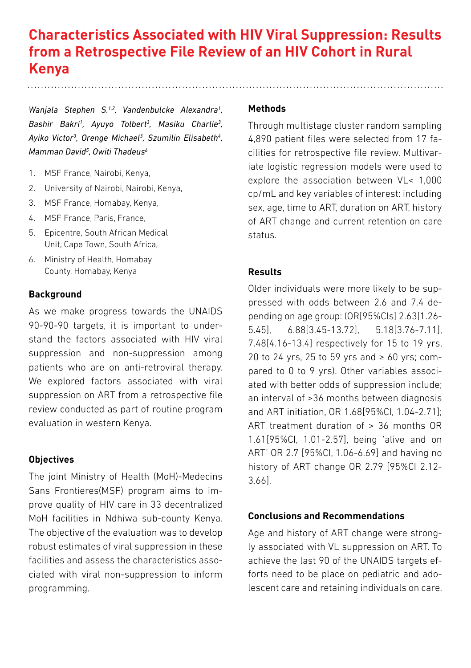# **Characteristics Associated with HIV Viral Suppression: Results from a Retrospective File Review of an HIV Cohort in Rural Kenya**

Wanjala Stephen S.<sup>1,2</sup>, Vandenbulcke Alexandra<sup>1</sup>, *Bashir Bakri1 , Ayuyo Tolbert3 , Masiku Charlie3 , Ayiko Victor3 , Orenge Michael3 , Szumilin Elisabeth4 , Mamman David5 , Owiti Thadeus6*

- 1. MSF France, Nairobi, Kenya,
- 2. University of Nairobi, Nairobi, Kenya,
- 3. MSF France, Homabay, Kenya,
- 4. MSF France, Paris, France,
- 5. Epicentre, South African Medical Unit, Cape Town, South Africa,
- 6. Ministry of Health, Homabay County, Homabay, Kenya

#### **Background**

As we make progress towards the UNAIDS 90-90-90 targets, it is important to understand the factors associated with HIV viral suppression and non-suppression among patients who are on anti-retroviral therapy. We explored factors associated with viral suppression on ART from a retrospective file review conducted as part of routine program evaluation in western Kenya.

#### **Objectives**

The joint Ministry of Health (MoH)-Medecins Sans Frontieres(MSF) program aims to improve quality of HIV care in 33 decentralized MoH facilities in Ndhiwa sub-county Kenya. The objective of the evaluation was to develop robust estimates of viral suppression in these facilities and assess the characteristics associated with viral non-suppression to inform programming.

#### **Methods**

Through multistage cluster random sampling 4,890 patient files were selected from 17 facilities for retrospective file review. Multivariate logistic regression models were used to explore the association between VL< 1,000 cp/mL and key variables of interest: including sex, age, time to ART, duration on ART, history of ART change and current retention on care status.

### **Results**

Older individuals were more likely to be suppressed with odds between 2.6 and 7.4 depending on age group: (OR[95%CIs] 2.63[1.26- 5.45], 6.88[3.45-13.72], 5.18[3.76-7.11], 7.48[4.16-13.4] respectively for 15 to 19 yrs, 20 to 24 yrs, 25 to 59 yrs and  $\geq 60$  yrs; compared to 0 to 9 yrs). Other variables associated with better odds of suppression include; an interval of >36 months between diagnosis and ART initiation, OR 1.68[95%CI, 1.04-2.71]; ART treatment duration of > 36 months OR 1.61[95%CI, 1.01-2.57], being 'alive and on ART' OR 2.7 [95%CI, 1.06-6.69] and having no history of ART change OR 2.79 [95%CI 2.12- 3.66].

#### **Conclusions and Recommendations**

Age and history of ART change were strongly associated with VL suppression on ART. To achieve the last 90 of the UNAIDS targets efforts need to be place on pediatric and adolescent care and retaining individuals on care.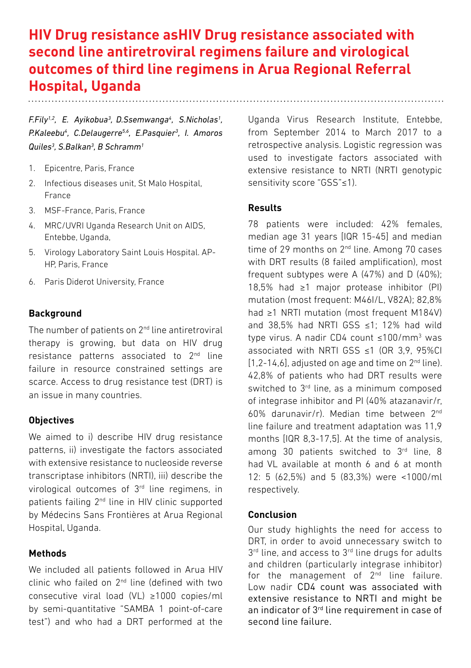# **HIV Drug resistance asHIV Drug resistance associated with second line antiretroviral regimens failure and virological outcomes of third line regimens in Arua Regional Referral Hospital, Uganda**

*F.Fily1,2, E. Ayikobua3 , D.Ssemwanga4 , S.Nicholas1 , P.Kaleebu4 , C.Delaugerre5,6, E.Pasquier3 , I. Amoros Quiles3 , S.Balkan3 , B Schramm1*

- 1. Epicentre, Paris, France
- 2. Infectious diseases unit, St Malo Hospital, France
- 3. MSF-France, Paris, France
- 4. MRC/UVRI Uganda Research Unit on AIDS, Entebbe, Uganda,
- 5. Virology Laboratory Saint Louis Hospital. AP-HP, Paris, France
- 6. Paris Diderot University, France

### **Background**

The number of patients on 2nd line antiretroviral therapy is growing, but data on HIV drug resistance patterns associated to 2<sup>nd</sup> line failure in resource constrained settings are scarce. Access to drug resistance test (DRT) is an issue in many countries.

#### **Objectives**

We aimed to i) describe HIV drug resistance patterns, ii) investigate the factors associated with extensive resistance to nucleoside reverse transcriptase inhibitors (NRTI), iii) describe the virological outcomes of 3rd line regimens, in patients failing 2nd line in HIV clinic supported by Médecins Sans Frontières at Arua Regional Hospital, Uganda.

#### **Methods**

We included all patients followed in Arua HIV clinic who failed on 2nd line (defined with two consecutive viral load (VL) ≥1000 copies/ml by semi-quantitative "SAMBA 1 point-of-care test") and who had a DRT performed at the Uganda Virus Research Institute, Entebbe, from September 2014 to March 2017 to a retrospective analysis. Logistic regression was used to investigate factors associated with extensive resistance to NRTI (NRTI genotypic sensitivity score "GSS"≤1).

#### **Results**

78 patients were included: 42% females, median age 31 years [IQR 15-45] and median time of 29 months on 2<sup>nd</sup> line. Among 70 cases with DRT results (8 failed amplification), most frequent subtypes were A  $(47%)$  and D  $(40%)$ ; 18,5% had ≥1 major protease inhibitor (PI) mutation (most frequent: M46I/L, V82A); 82,8% had ≥1 NRTI mutation (most frequent M184V) and 38,5% had NRTI GSS ≤1; 12% had wild type virus. A nadir CD4 count ≤100/mm3 was associated with NRTI GSS <1 (OR 3.9, 95%CL  $[1,2-14,6]$ , adjusted on age and time on  $2<sup>nd</sup>$  line). 42,8% of patients who had DRT results were switched to 3<sup>rd</sup> line, as a minimum composed of integrase inhibitor and PI (40% atazanavir/r, 60% darunavir/r). Median time between 2nd line failure and treatment adaptation was 11,9 months [IQR 8,3-17,5]. At the time of analysis, among 30 patients switched to 3rd line, 8 had VL available at month 6 and 6 at month 12: 5 (62,5%) and 5 (83,3%) were <1000/ml respectively.

#### **Conclusion**

Our study highlights the need for access to DRT, in order to avoid unnecessary switch to 3<sup>rd</sup> line, and access to 3<sup>rd</sup> line drugs for adults and children (particularly integrase inhibitor) for the management of 2<sup>nd</sup> line failure. Low nadir CD4 count was associated with extensive resistance to NRTI and might be an indicator of 3rd line requirement in case of second line failure.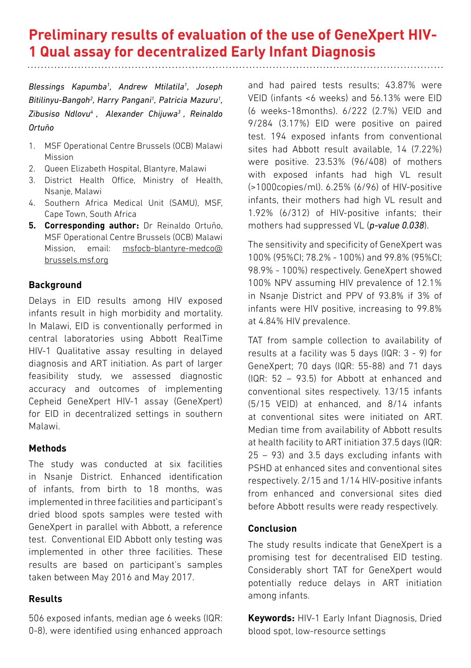# **Preliminary results of evaluation of the use of GeneXpert HIV-1 Qual assay for decentralized Early Infant Diagnosis**

*Blessings Kapumba1 , Andrew Mtilatila1 , Joseph Bitilinyu-Bangoh2 , Harry Pangani1 , Patricia Mazuru1 , Zibusiso Ndlovu4 , Alexander Chijuwa3 , Reinaldo Ortuño*

- 1. MSF Operational Centre Brussels (OCB) Malawi Mission
- 2. Queen Elizabeth Hospital, Blantyre, Malawi
- 3. District Health Office, Ministry of Health, Nsanje, Malawi
- 4. Southern Africa Medical Unit (SAMU), MSF, Cape Town, South Africa
- **5. Corresponding author:** Dr Reinaldo Ortuño, MSF Operational Centre Brussels (OCB) Malawi Mission, email: msfocb-blantyre-medco@ brussels.msf.org

# **Background**

Delays in EID results among HIV exposed infants result in high morbidity and mortality. In Malawi, EID is conventionally performed in central laboratories using Abbott RealTime HIV-1 Qualitative assay resulting in delayed diagnosis and ART initiation. As part of larger feasibility study, we assessed diagnostic accuracy and outcomes of implementing Cepheid GeneXpert HIV-1 assay (GeneXpert) for EID in decentralized settings in southern Malawi.

# **Methods**

The study was conducted at six facilities in Nsanje District. Enhanced identification of infants, from birth to 18 months, was implemented in three facilities and participant's dried blood spots samples were tested with GeneXpert in parallel with Abbott, a reference test. Conventional EID Abbott only testing was implemented in other three facilities. These results are based on participant's samples taken between May 2016 and May 2017.

# **Results**

506 exposed infants, median age 6 weeks (IQR: 0-8), were identified using enhanced approach and had paired tests results; 43.87% were VEID (infants <6 weeks) and 56.13% were EID (6 weeks-18months). 6/222 (2.7%) VEID and 9/284 (3.17%) EID were positive on paired test. 194 exposed infants from conventional sites had Abbott result available, 14 (7.22%) were positive. 23.53% (96/408) of mothers with exposed infants had high VL result (>1000copies/ml). 6.25% (6/96) of HIV-positive infants, their mothers had high VL result and 1.92% (6/312) of HIV-positive infants; their mothers had suppressed VL (*p-value 0.038*).

The sensitivity and specificity of GeneXpert was 100% (95%CI; 78.2% - 100%) and 99.8% (95%CI; 98.9% - 100%) respectively. GeneXpert showed 100% NPV assuming HIV prevalence of 12.1% in Nsanje District and PPV of 93.8% if 3% of infants were HIV positive, increasing to 99.8% at 4.84% HIV prevalence.

TAT from sample collection to availability of results at a facility was 5 days (IQR: 3 - 9) for GeneXpert; 70 days (IQR: 55-88) and 71 days (IQR: 52 – 93.5) for Abbott at enhanced and conventional sites respectively. 13/15 infants (5/15 VEID) at enhanced, and 8/14 infants at conventional sites were initiated on ART. Median time from availability of Abbott results at health facility to ART initiation 37.5 days (IQR: 25 – 93) and 3.5 days excluding infants with PSHD at enhanced sites and conventional sites respectively. 2/15 and 1/14 HIV-positive infants from enhanced and conversional sites died before Abbott results were ready respectively.

# **Conclusion**

The study results indicate that GeneXpert is a promising test for decentralised EID testing. Considerably short TAT for GeneXpert would potentially reduce delays in ART initiation among infants.

**Keywords:** HIV-1 Early Infant Diagnosis, Dried blood spot, low-resource settings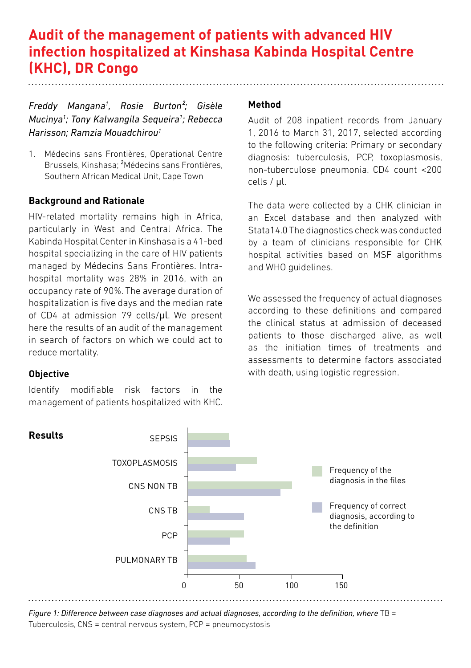# **Audit of the management of patients with advanced HIV infection hospitalized at Kinshasa Kabinda Hospital Centre (KHC), DR Congo**

*Freddy Mangana1 , Rosie Burton²; Gisèle Mucinya1 ; Tony Kalwangila Sequeira1 ; Rebecca Harisson; Ramzia Mouadchirou1*

1. Médecins sans Frontières, Operational Centre Brussels, Kinshasa; ²Médecins sans Frontières, Southern African Medical Unit, Cape Town

# **Background and Rationale**

HIV-related mortality remains high in Africa, particularly in West and Central Africa. The Kabinda Hospital Center in Kinshasa is a 41-bed hospital specializing in the care of HIV patients managed by Médecins Sans Frontières. Intrahospital mortality was 28% in 2016, with an occupancy rate of 90%. The average duration of hospitalization is five days and the median rate of CD4 at admission 79 cells/μl. We present here the results of an audit of the management in search of factors on which we could act to reduce mortality.

# **Objective**

Identify modifiable risk factors in the management of patients hospitalized with KHC.

#### **Method**

Audit of 208 inpatient records from January 1, 2016 to March 31, 2017, selected according to the following criteria: Primary or secondary diagnosis: tuberculosis, PCP, toxoplasmosis, non-tuberculose pneumonia. CD4 count <200 cells / μl.

The data were collected by a CHK clinician in an Excel database and then analyzed with Stata14.0 The diagnostics check was conducted by a team of clinicians responsible for CHK hospital activities based on MSF algorithms and WHO guidelines.

We assessed the frequency of actual diagnoses according to these definitions and compared the clinical status at admission of deceased patients to those discharged alive, as well as the initiation times of treatments and assessments to determine factors associated with death, using logistic regression.